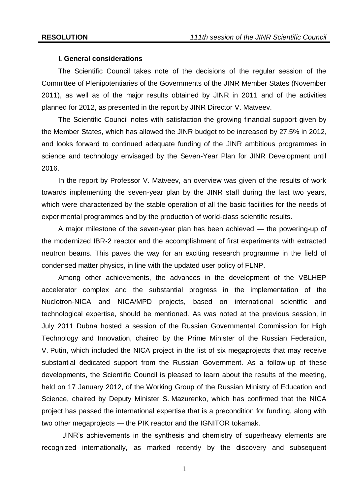#### **I. General considerations**

The Scientific Council takes note of the decisions of the regular session of the Committee of Plenipotentiaries of the Governments of the JINR Member States (November 2011), as well as of the major results obtained by JINR in 2011 and of the activities planned for 2012, as presented in the report by JINR Director V. Matveev.

The Scientific Council notes with satisfaction the growing financial support given by the Member States, which has allowed the JINR budget to be increased by 27.5% in 2012, and looks forward to continued adequate funding of the JINR ambitious programmes in science and technology envisaged by the Seven-Year Plan for JINR Development until 2016.

In the report by Professor V. Matveev, an overview was given of the results of work towards implementing the seven-year plan by the JINR staff during the last two years, which were characterized by the stable operation of all the basic facilities for the needs of experimental programmes and by the production of world-class scientific results.

A major milestone of the seven-year plan has been achieved — the powering-up of the modernized IBR-2 reactor and the accomplishment of first experiments with extracted neutron beams. This paves the way for an exciting research programme in the field of condensed matter physics, in line with the updated user policy of FLNP.

Among other achievements, the advances in the development of the VBLHEP accelerator complex and the substantial progress in the implementation of the Nuclotron-NICA and NICA/MPD projects, based on international scientific and technological expertise, should be mentioned. As was noted at the previous session, in July 2011 Dubna hosted a session of the Russian Governmental Commission for High Technology and Innovation, chaired by the Prime Minister of the Russian Federation, V. Putin, which included the NICA project in the list of six megaprojects that may receive substantial dedicated support from the Russian Government. As a follow-up of these developments, the Scientific Council is pleased to learn about the results of the meeting, held on 17 January 2012, of the Working Group of the Russian Ministry of Education and Science, chaired by Deputy Minister S. Mazurenko, which has confirmed that the NICA project has passed the international expertise that is a precondition for funding, along with two other megaprojects — the PIK reactor and the IGNITOR tokamak.

JINR's achievements in the synthesis and chemistry of superheavy elements are recognized internationally, as marked recently by the discovery and subsequent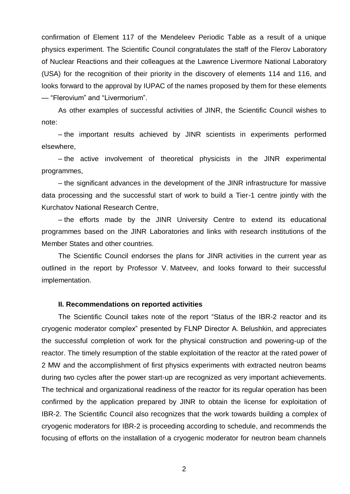confirmation of Element 117 of the Mendeleev Periodic Table as a result of a unique physics experiment. The Scientific Council congratulates the staff of the Flerov Laboratory of Nuclear Reactions and their colleagues at the Lawrence Livermore National Laboratory (USA) for the recognition of their priority in the discovery of elements 114 and 116, and looks forward to the approval by IUPAC of the names proposed by them for these elements — "Flerovium" and "Livermorium".

As other examples of successful activities of JINR, the Scientific Council wishes to note:

– the important results achieved by JINR scientists in experiments performed elsewhere,

– the active involvement of theoretical physicists in the JINR experimental programmes,

– the significant advances in the development of the JINR infrastructure for massive data processing and the successful start of work to build a Tier-1 centre jointly with the Kurchatov National Research Centre,

– the efforts made by the JINR University Centre to extend its educational programmes based on the JINR Laboratories and links with research institutions of the Member States and other countries.

The Scientific Council endorses the plans for JINR activities in the current year as outlined in the report by Professor V. Matveev, and looks forward to their successful implementation.

### **II. Recommendations on reported activities**

The Scientific Council takes note of the report "Status of the IBR-2 reactor and its cryogenic moderator complex" presented by FLNP Director A. Belushkin, and appreciates the successful completion of work for the physical construction and powering-up of the reactor. The timely resumption of the stable exploitation of the reactor at the rated power of 2 МW and the accomplishment of first physics experiments with extracted neutron beams during two cycles after the power start-up are recognized as very important achievements. The technical and organizational readiness of the reactor for its regular operation has been confirmed by the application prepared by JINR to obtain the license for exploitation of IBR-2. The Scientific Council also recognizes that the work towards building a complex of cryogenic moderators for IBR-2 is proceeding according to schedule, and recommends the focusing of efforts on the installation of a cryogenic moderator for neutron beam channels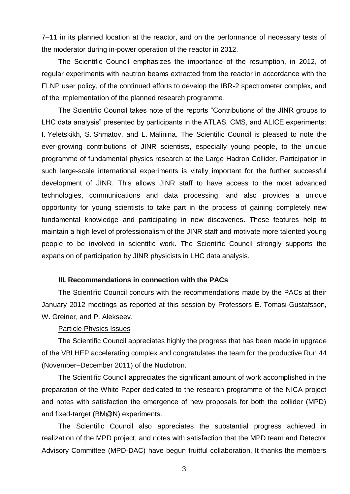7–11 in its planned location at the reactor, and on the performance of necessary tests of the moderator during in-power operation of the reactor in 2012.

The Scientific Council emphasizes the importance of the resumption, in 2012, of regular experiments with neutron beams extracted from the reactor in accordance with the FLNP user policy, of the continued efforts to develop the IBR-2 spectrometer complex, and of the implementation of the planned research programme.

The Scientific Council takes note of the reports "Contributions of the JINR groups to LHC data analysis" presented by participants in the ATLAS, CMS, and ALICE experiments: I. Yeletskikh, S. Shmatov, and L. Malinina. The Scientific Council is pleased to note the ever-growing contributions of JINR scientists, especially young people, to the unique programme of fundamental physics research at the Large Hadron Collider. Participation in such large-scale international experiments is vitally important for the further successful development of JINR. This allows JINR staff to have access to the most advanced technologies, communications and data processing, and also provides a unique opportunity for young scientists to take part in the process of gaining completely new fundamental knowledge and participating in new discoveries. These features help to maintain a high level of professionalism of the JINR staff and motivate more talented young people to be involved in scientific work. The Scientific Council strongly supports the expansion of participation by JINR physicists in LHC data analysis.

#### **III. Recommendations in connection with the PACs**

The Scientific Council concurs with the recommendations made by the PACs at their January 2012 meetings as reported at this session by Professors E. Tomasi-Gustafsson, W. Greiner, and P. Alekseev.

### Particle Physics Issues

The Scientific Council appreciates highly the progress that has been made in upgrade of the VBLHEP accelerating complex and congratulates the team for the productive Run 44 (November–December 2011) of the Nuclotron.

The Scientific Council appreciates the significant amount of work accomplished in the preparation of the White Paper dedicated to the research programme of the NICA project and notes with satisfaction the emergence of new proposals for both the collider (MPD) and fixed-target (BM@N) experiments.

The Scientific Council also appreciates the substantial progress achieved in realization of the MPD project, and notes with satisfaction that the MPD team and Detector Advisory Committee (MPD-DAC) have begun fruitful collaboration. It thanks the members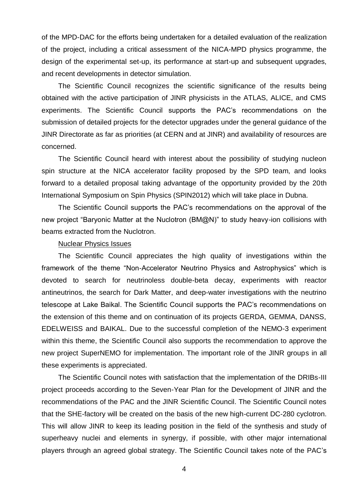of the MPD-DAC for the efforts being undertaken for a detailed evaluation of the realization of the project, including a critical assessment of the NICA-MPD physics programme, the design of the experimental set-up, its performance at start-up and subsequent upgrades, and recent developments in detector simulation.

The Scientific Council recognizes the scientific significance of the results being obtained with the active participation of JINR physicists in the ATLAS, ALICE, and CMS experiments. The Scientific Council supports the PAC's recommendations on the submission of detailed projects for the detector upgrades under the general guidance of the JINR Directorate as far as priorities (at CERN and at JINR) and availability of resources are concerned.

The Scientific Council heard with interest about the possibility of studying nucleon spin structure at the NICA accelerator facility proposed by the SPD team, and looks forward to a detailed proposal taking advantage of the opportunity provided by the 20th International Symposium on Spin Physics (SPIN2012) which will take place in Dubna.

The Scientific Council supports the PAC's recommendations on the approval of the new project "Baryonic Matter at the Nuclotron (BM@N)" to study heavy-ion collisions with beams extracted from the Nuclotron.

#### Nuclear Physics Issues

The Scientific Council appreciates the high quality of investigations within the framework of the theme "Non-Accelerator Neutrino Physics and Astrophysics" which is devoted to search for neutrinoless double-beta decay, experiments with reactor antineutrinos, the search for Dark Matter, and deep-water investigations with the neutrino telescope at Lake Baikal. The Scientific Council supports the PAC's recommendations on the extension of this theme and on continuation of its projects GERDA, GEMMA, DANSS, EDELWEISS and BAIKAL. Due to the successful completion of the NEMO-3 experiment within this theme, the Scientific Council also supports the recommendation to approve the new project SuperNEMO for implementation. The important role of the JINR groups in all these experiments is appreciated.

The Scientific Council notes with satisfaction that the implementation of the DRIBs-III project proceeds according to the Seven-Year Plan for the Development of JINR and the recommendations of the PAC and the JINR Scientific Council. The Scientific Council notes that the SHE-factory will be created on the basis of the new high-current DC-280 cyclotron. This will allow JINR to keep its leading position in the field of the synthesis and study of superheavy nuclei and elements in synergy, if possible, with other major international players through an agreed global strategy. The Scientific Council takes note of the PAC's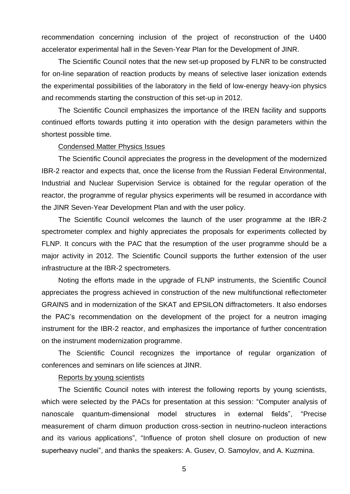recommendation concerning inclusion of the project of reconstruction of the U400 accelerator experimental hall in the Seven-Year Plan for the Development of JINR.

The Scientific Council notes that the new set-up proposed by FLNR to be constructed for on-line separation of reaction products by means of selective laser ionization extends the experimental possibilities of the laboratory in the field of low-energy heavy-ion physics and recommends starting the construction of this set-up in 2012.

The Scientific Council emphasizes the importance of the IREN facility and supports continued efforts towards putting it into operation with the design parameters within the shortest possible time.

#### Condensed Matter Physics Issues

The Scientific Council appreciates the progress in the development of the modernized IBR-2 reactor and expects that, once the license from the Russian Federal Environmental, Industrial and Nuclear Supervision Service is obtained for the regular operation of the reactor, the programme of regular physics experiments will be resumed in accordance with the JINR Seven-Year Development Plan and with the user policy.

The Scientific Council welcomes the launch of the user programme at the IBR-2 spectrometer complex and highly appreciates the proposals for experiments collected by FLNP. It concurs with the PAC that the resumption of the user programme should be a major activity in 2012. The Scientific Council supports the further extension of the user infrastructure at the IBR-2 spectrometers.

Noting the efforts made in the upgrade of FLNP instruments, the Scientific Council appreciates the progress achieved in construction of the new multifunctional reflectometer GRAINS and in modernization of the SKAT and EPSILON diffractometers. It also endorses the PAC's recommendation on the development of the project for a neutron imaging instrument for the IBR-2 reactor, and emphasizes the importance of further concentration on the instrument modernization programme.

The Scientific Council recognizes the importance of regular organization of conferences and seminars on life sciences at JINR.

#### Reports by young scientists

The Scientific Council notes with interest the following reports by young scientists, which were selected by the PACs for presentation at this session: "Computer analysis of nanoscale quantum-dimensional model structures in external fields", "Precise measurement of charm dimuon production cross-section in neutrino-nucleon interactions and its various applications", "Influence of proton shell closure on production of new superheavy nuclei", and thanks the speakers: A. Gusev, O. Samoylov, and A. Kuzmina.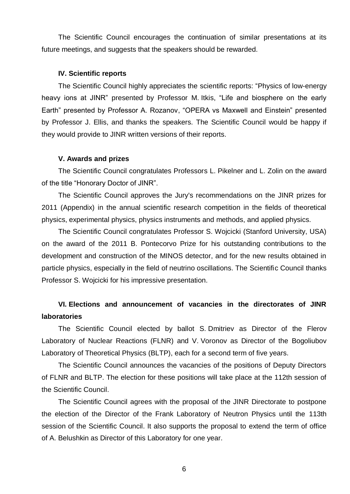The Scientific Council encourages the continuation of similar presentations at its future meetings, and suggests that the speakers should be rewarded.

#### **IV. Scientific reports**

The Scientific Council highly appreciates the scientific reports: "Physics of low-energy heavy ions at JINR" presented by Professor M. Itkis, "Life and biosphere on the early Earth" presented by Professor A. Rozanov, "OPERA vs Maxwell and Einstein" presented by Professor J. Ellis, and thanks the speakers. The Scientific Council would be happy if they would provide to JINR written versions of their reports.

#### **V. Awards and prizes**

The Scientific Council congratulates Professors L. Pikelner and L. Zolin on the award of the title "Honorary Doctor of JINR".

The Scientific Council approves the Jury's recommendations on the JINR prizes for 2011 (Appendix) in the annual scientific research competition in the fields of theoretical physics, experimental physics, physics instruments and methods, and applied physics.

The Scientific Council congratulates Professor S. Wojcicki (Stanford University, USA) on the award of the 2011 B. Pontecorvo Prize for his outstanding contributions to the development and construction of the MINOS detector, and for the new results obtained in particle physics, especially in the field of neutrino oscillations. The Scientific Council thanks Professor S. Wojcicki for his impressive presentation.

# **VI. Elections and announcement of vacancies in the directorates of JINR laboratories**

The Scientific Council elected by ballot S. Dmitriev as Director of the Flerov Laboratory of Nuclear Reactions (FLNR) and V. Voronov as Director of the Bogoliubov Laboratory of Theoretical Physics (BLTP), each for a second term of five years.

The Scientific Council announces the vacancies of the positions of Deputy Directors of FLNR and BLTP. The election for these positions will take place at the 112th session of the Scientific Council.

The Scientific Council agrees with the proposal of the JINR Directorate to postpone the election of the Director of the Frank Laboratory of Neutron Physics until the 113th session of the Scientific Council. It also supports the proposal to extend the term of office of A. Belushkin as Director of this Laboratory for one year.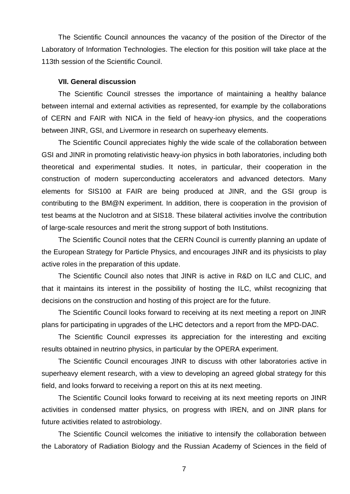The Scientific Council announces the vacancy of the position of the Director of the Laboratory of Information Technologies. The election for this position will take place at the 113th session of the Scientific Council.

#### **VII. General discussion**

The Scientific Council stresses the importance of maintaining a healthy balance between internal and external activities as represented, for example by the collaborations of CERN and FAIR with NICA in the field of heavy-ion physics, and the cooperations between JINR, GSI, and Livermore in research on superheavy elements.

The Scientific Council appreciates highly the wide scale of the collaboration between GSI and JINR in promoting relativistic heavy-ion physics in both laboratories, including both theoretical and experimental studies. It notes, in particular, their cooperation in the construction of modern superconducting accelerators and advanced detectors. Many elements for SIS100 at FAIR are being produced at JINR, and the GSI group is contributing to the BM@N experiment. In addition, there is cooperation in the provision of test beams at the Nuclotron and at SIS18. These bilateral activities involve the contribution of large-scale resources and merit the strong support of both Institutions.

The Scientific Council notes that the CERN Council is currently planning an update of the European Strategy for Particle Physics, and encourages JINR and its physicists to play active roles in the preparation of this update.

The Scientific Council also notes that JINR is active in R&D on ILC and CLIC, and that it maintains its interest in the possibility of hosting the ILC, whilst recognizing that decisions on the construction and hosting of this project are for the future.

The Scientific Council looks forward to receiving at its next meeting a report on JINR plans for participating in upgrades of the LHC detectors and a report from the MPD-DAC.

The Scientific Council expresses its appreciation for the interesting and exciting results obtained in neutrino physics, in particular by the OPERA experiment.

The Scientific Council encourages JINR to discuss with other laboratories active in superheavy element research, with a view to developing an agreed global strategy for this field, and looks forward to receiving a report on this at its next meeting.

The Scientific Council looks forward to receiving at its next meeting reports on JINR activities in condensed matter physics, on progress with IREN, and on JINR plans for future activities related to astrobiology.

The Scientific Council welcomes the initiative to intensify the collaboration between the Laboratory of Radiation Biology and the Russian Academy of Sciences in the field of